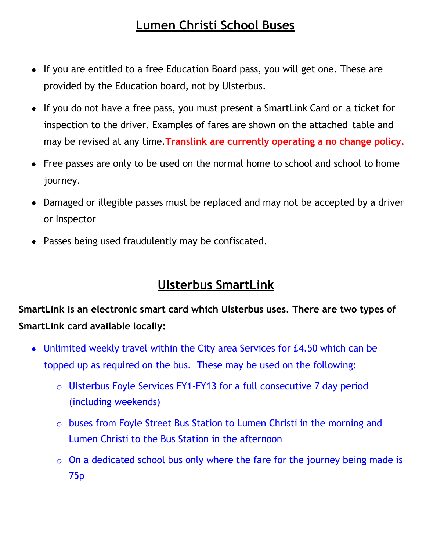## **Lumen Christi School Buses**

- If you are entitled to a free Education Board pass, you will get one. These are provided by the Education board, not by Ulsterbus.
- If you do not have a free pass, you must present a SmartLink Card or a ticket for inspection to the driver. Examples of fares are shown on the attached table and may be revised at any time.**Translink are currently operating a no change policy.**
- Free passes are only to be used on the normal home to school and school to home journey.
- Damaged or illegible passes must be replaced and may not be accepted by a driver or Inspector
- Passes being used fraudulently may be confiscated.

## **Ulsterbus SmartLink**

**SmartLink is an electronic smart card which Ulsterbus uses. There are two types of SmartLink card available locally:**

- Unlimited weekly travel within the City area Services for £4.50 which can be topped up as required on the bus. These may be used on the following:
	- o Ulsterbus Foyle Services FY1-FY13 for a full consecutive 7 day period (including weekends)
	- o buses from Foyle Street Bus Station to Lumen Christi in the morning and Lumen Christi to the Bus Station in the afternoon
	- $\circ$  On a dedicated school bus only where the fare for the journey being made is 75p